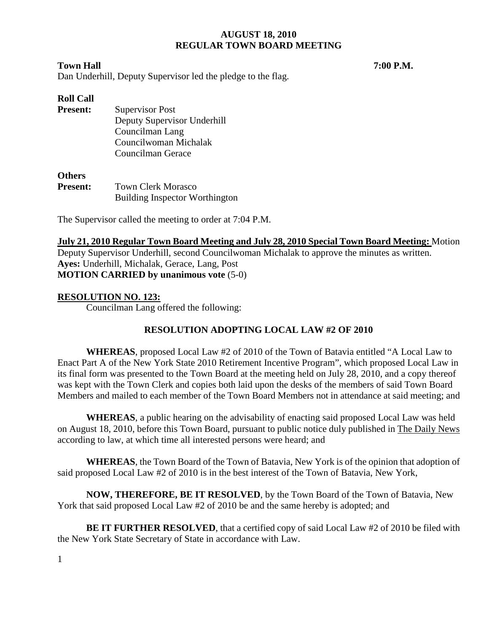## **Town Hall 7:00 P.M.**

Dan Underhill, Deputy Supervisor led the pledge to the flag.

# **Roll Call**

**Present:** Supervisor Post Deputy Supervisor Underhill Councilman Lang Councilwoman Michalak Councilman Gerace

#### **Others**

**Present:** Town Clerk Morasco Building Inspector Worthington

The Supervisor called the meeting to order at 7:04 P.M.

**July 21, 2010 Regular Town Board Meeting and July 28, 2010 Special Town Board Meeting:** Motion Deputy Supervisor Underhill, second Councilwoman Michalak to approve the minutes as written. **Ayes:** Underhill, Michalak, Gerace, Lang, Post **MOTION CARRIED by unanimous vote** (5-0)

# **RESOLUTION NO. 123:**

Councilman Lang offered the following:

# **RESOLUTION ADOPTING LOCAL LAW #2 OF 2010**

**WHEREAS**, proposed Local Law #2 of 2010 of the Town of Batavia entitled "A Local Law to Enact Part A of the New York State 2010 Retirement Incentive Program", which proposed Local Law in its final form was presented to the Town Board at the meeting held on July 28, 2010, and a copy thereof was kept with the Town Clerk and copies both laid upon the desks of the members of said Town Board Members and mailed to each member of the Town Board Members not in attendance at said meeting; and

**WHEREAS**, a public hearing on the advisability of enacting said proposed Local Law was held on August 18, 2010, before this Town Board, pursuant to public notice duly published in The Daily News according to law, at which time all interested persons were heard; and

**WHEREAS**, the Town Board of the Town of Batavia, New York is of the opinion that adoption of said proposed Local Law #2 of 2010 is in the best interest of the Town of Batavia, New York,

**NOW, THEREFORE, BE IT RESOLVED**, by the Town Board of the Town of Batavia, New York that said proposed Local Law #2 of 2010 be and the same hereby is adopted; and

**BE IT FURTHER RESOLVED**, that a certified copy of said Local Law #2 of 2010 be filed with the New York State Secretary of State in accordance with Law.

1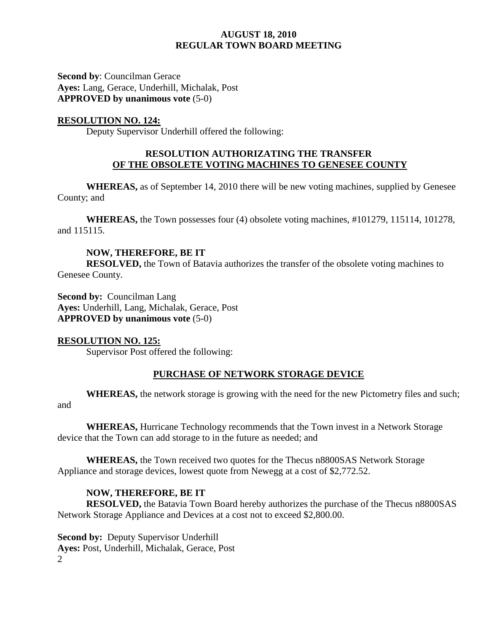**Second by**: Councilman Gerace **Ayes:** Lang, Gerace, Underhill, Michalak, Post **APPROVED by unanimous vote** (5-0)

## **RESOLUTION NO. 124:**

Deputy Supervisor Underhill offered the following:

## **RESOLUTION AUTHORIZATING THE TRANSFER OF THE OBSOLETE VOTING MACHINES TO GENESEE COUNTY**

**WHEREAS,** as of September 14, 2010 there will be new voting machines, supplied by Genesee County; and

**WHEREAS,** the Town possesses four (4) obsolete voting machines, #101279, 115114, 101278, and 115115.

## **NOW, THEREFORE, BE IT**

**RESOLVED,** the Town of Batavia authorizes the transfer of the obsolete voting machines to Genesee County.

**Second by: Councilman Lang Ayes:** Underhill, Lang, Michalak, Gerace, Post **APPROVED by unanimous vote** (5-0)

## **RESOLUTION NO. 125:**

Supervisor Post offered the following:

# **PURCHASE OF NETWORK STORAGE DEVICE**

**WHEREAS,** the network storage is growing with the need for the new Pictometry files and such;

and

**WHEREAS,** Hurricane Technology recommends that the Town invest in a Network Storage device that the Town can add storage to in the future as needed; and

**WHEREAS,** the Town received two quotes for the Thecus n8800SAS Network Storage Appliance and storage devices, lowest quote from Newegg at a cost of \$2,772.52.

## **NOW, THEREFORE, BE IT**

 **RESOLVED,** the Batavia Town Board hereby authorizes the purchase of the Thecus n8800SAS Network Storage Appliance and Devices at a cost not to exceed \$2,800.00.

2 **Second by: Deputy Supervisor Underhill Ayes:** Post, Underhill, Michalak, Gerace, Post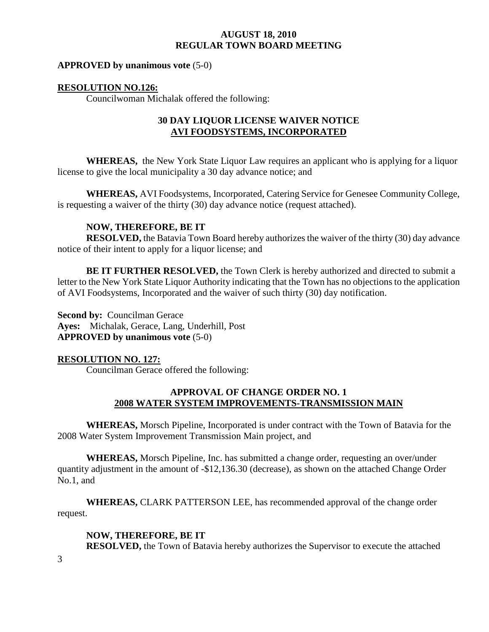#### **APPROVED by unanimous vote** (5-0)

#### **RESOLUTION NO.126:**

Councilwoman Michalak offered the following:

## **30 DAY LIQUOR LICENSE WAIVER NOTICE AVI FOODSYSTEMS, INCORPORATED**

**WHEREAS,** the New York State Liquor Law requires an applicant who is applying for a liquor license to give the local municipality a 30 day advance notice; and

**WHEREAS,** AVI Foodsystems, Incorporated, Catering Service for Genesee Community College, is requesting a waiver of the thirty (30) day advance notice (request attached).

## **NOW, THEREFORE, BE IT**

**RESOLVED,** the Batavia Town Board hereby authorizes the waiver of the thirty (30) day advance notice of their intent to apply for a liquor license; and

**BE IT FURTHER RESOLVED,** the Town Clerk is hereby authorized and directed to submit a letter to the New York State Liquor Authority indicating that the Town has no objections to the application of AVI Foodsystems, Incorporated and the waiver of such thirty (30) day notification.

**Second by: Councilman Gerace Ayes:** Michalak, Gerace, Lang, Underhill, Post **APPROVED by unanimous vote** (5-0)

#### **RESOLUTION NO. 127:**

Councilman Gerace offered the following:

## **APPROVAL OF CHANGE ORDER NO. 1 2008 WATER SYSTEM IMPROVEMENTS-TRANSMISSION MAIN**

**WHEREAS,** Morsch Pipeline, Incorporated is under contract with the Town of Batavia for the 2008 Water System Improvement Transmission Main project, and

**WHEREAS,** Morsch Pipeline, Inc. has submitted a change order, requesting an over/under quantity adjustment in the amount of -\$12,136.30 (decrease), as shown on the attached Change Order No.1, and

**WHEREAS,** CLARK PATTERSON LEE, has recommended approval of the change order request.

## **NOW, THEREFORE, BE IT**

**RESOLVED,** the Town of Batavia hereby authorizes the Supervisor to execute the attached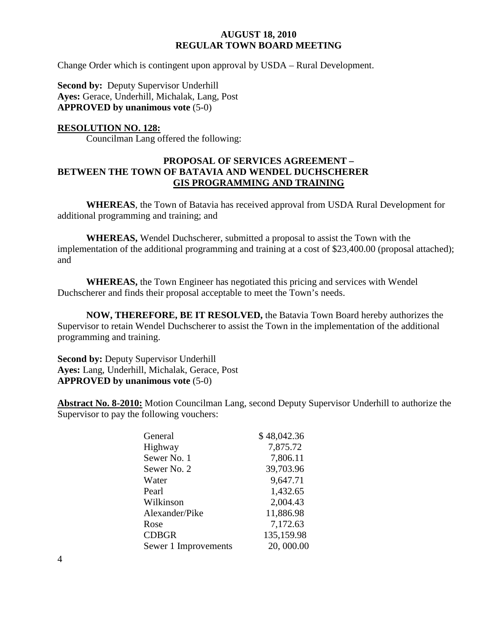Change Order which is contingent upon approval by USDA – Rural Development.

**Second by: Deputy Supervisor Underhill Ayes:** Gerace, Underhill, Michalak, Lang, Post **APPROVED by unanimous vote** (5-0)

## **RESOLUTION NO. 128:**

Councilman Lang offered the following:

## **PROPOSAL OF SERVICES AGREEMENT – BETWEEN THE TOWN OF BATAVIA AND WENDEL DUCHSCHERER GIS PROGRAMMING AND TRAINING**

**WHEREAS**, the Town of Batavia has received approval from USDA Rural Development for additional programming and training; and

**WHEREAS,** Wendel Duchscherer, submitted a proposal to assist the Town with the implementation of the additional programming and training at a cost of \$23,400.00 (proposal attached); and

**WHEREAS,** the Town Engineer has negotiated this pricing and services with Wendel Duchscherer and finds their proposal acceptable to meet the Town's needs.

**NOW, THEREFORE, BE IT RESOLVED,** the Batavia Town Board hereby authorizes the Supervisor to retain Wendel Duchscherer to assist the Town in the implementation of the additional programming and training.

**Second by:** Deputy Supervisor Underhill **Ayes:** Lang, Underhill, Michalak, Gerace, Post **APPROVED by unanimous vote** (5-0)

**Abstract No. 8-2010:** Motion Councilman Lang, second Deputy Supervisor Underhill to authorize the Supervisor to pay the following vouchers:

| \$48,042.36 |
|-------------|
| 7,875.72    |
| 7,806.11    |
| 39,703.96   |
| 9,647.71    |
| 1,432.65    |
| 2,004.43    |
| 11,886.98   |
| 7,172.63    |
| 135,159.98  |
| 20,000.00   |
|             |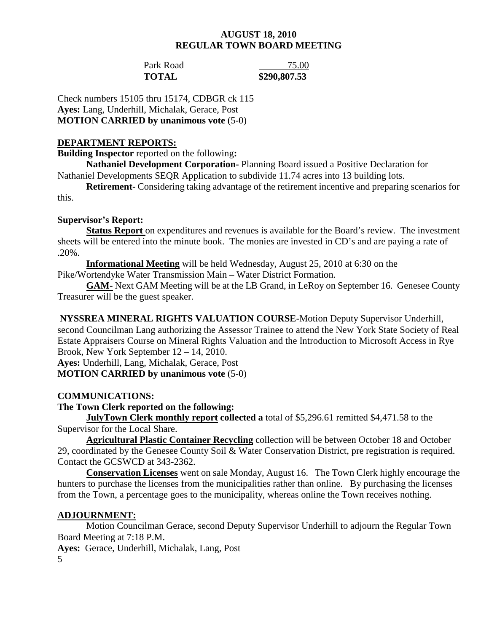# Park Road 75.00

**TOTAL \$290,807.53** 

Check numbers 15105 thru 15174, CDBGR ck 115 **Ayes:** Lang, Underhill, Michalak, Gerace, Post **MOTION CARRIED by unanimous vote** (5-0)

## **DEPARTMENT REPORTS:**

**Building Inspector** reported on the following**:** 

**Nathaniel Development Corporation-** Planning Board issued a Positive Declaration for Nathaniel Developments SEQR Application to subdivide 11.74 acres into 13 building lots.

**Retirement-** Considering taking advantage of the retirement incentive and preparing scenarios for this.

# **Supervisor's Report:**

**Status Report** on expenditures and revenues is available for the Board's review. The investment sheets will be entered into the minute book. The monies are invested in CD's and are paying a rate of .20%.

**Informational Meeting** will be held Wednesday, August 25, 2010 at 6:30 on the Pike/Wortendyke Water Transmission Main – Water District Formation.

**GAM-** Next GAM Meeting will be at the LB Grand, in LeRoy on September 16. Genesee County Treasurer will be the guest speaker.

 **NYSSREA MINERAL RIGHTS VALUATION COURSE**-Motion Deputy Supervisor Underhill, second Councilman Lang authorizing the Assessor Trainee to attend the New York State Society of Real Estate Appraisers Course on Mineral Rights Valuation and the Introduction to Microsoft Access in Rye Brook, New York September 12 – 14, 2010.

**Ayes:** Underhill, Lang, Michalak, Gerace, Post

## **MOTION CARRIED by unanimous vote** (5-0)

# **COMMUNICATIONS:**

# **The Town Clerk reported on the following:**

**JulyTown Clerk monthly report collected a** total of \$5,296.61 remitted \$4,471.58 to the Supervisor for the Local Share.

**Agricultural Plastic Container Recycling** collection will be between October 18 and October 29, coordinated by the Genesee County Soil & Water Conservation District, pre registration is required. Contact the GCSWCD at 343-2362.

**Conservation Licenses** went on sale Monday, August 16. The Town Clerk highly encourage the hunters to purchase the licenses from the municipalities rather than online. By purchasing the licenses from the Town, a percentage goes to the municipality, whereas online the Town receives nothing.

# **ADJOURNMENT:**

 Motion Councilman Gerace, second Deputy Supervisor Underhill to adjourn the Regular Town Board Meeting at 7:18 P.M.

**Ayes:** Gerace, Underhill, Michalak, Lang, Post

5